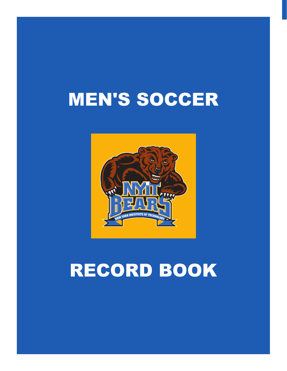# MEN'S SOCCER



# RECORD BOOK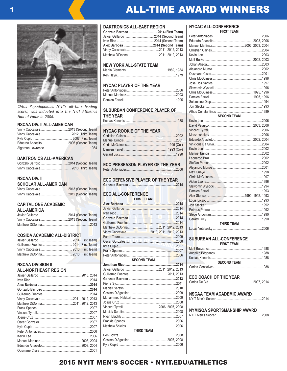*Clitos Papadopolous, NYIT's all-time leading scorer, was inducted into the NYIT Athletics Hall of Fame in 2005.*

#### **NSCAA DIV. II ALL-AMERICAN**

#### **DAKTRONICS ALL-AMERICAN**

### **NSCAA DIV. II**

#### **SCHOLAR ALL-AMERICAN**

#### **CAPITAL ONE ACADEMIC ALL-AMERICA**

| Vinny Caccavale 2013 (Second Team) |  |
|------------------------------------|--|
|                                    |  |

#### **COSIDA ACADEMIC ALL-DISTRICT**

#### **NSCAA DIVISION II ALL-NORTHEAST REGION**

#### **DAKTRONICS ALL-EAST REGION**

| Gonzalo Barroso  2014 (First Team)  |
|-------------------------------------|
| Javier Gallardo  2014 (Second Team) |
|                                     |
| Alex Barbosa  2014 (Second Team)    |
|                                     |
|                                     |

#### **NEW YORK ALL-STATE TEAM**

#### **NYCAC PLAYER OF THE YEAR**

#### **SUBURBAN CONFERENCE PLAYER OF**

**THE YEAR**

Kostas Kononis ...........................................................1988

#### **NYCAC ROOKIE OF THE YEAR**

**ECC PRESEASON PLAYER OF THE YEAR** Peter Antoniades .........................................................2006

#### **ECC DEFENSIVE PLAYER OF THE YEAR Gonzalo Barroso .......................................................2014**

#### **ECC ALL-CONFERENCE FIRST TEAM**

| <b>FIRSI I LAW</b> |  |  |  |      |
|--------------------|--|--|--|------|
|                    |  |  |  |      |
|                    |  |  |  |      |
|                    |  |  |  |      |
|                    |  |  |  |      |
|                    |  |  |  |      |
|                    |  |  |  |      |
|                    |  |  |  |      |
|                    |  |  |  |      |
|                    |  |  |  |      |
|                    |  |  |  |      |
|                    |  |  |  |      |
|                    |  |  |  |      |
| <b>SECOND TEAM</b> |  |  |  |      |
|                    |  |  |  | 2014 |
|                    |  |  |  |      |
|                    |  |  |  |      |
|                    |  |  |  |      |
|                    |  |  |  |      |
|                    |  |  |  |      |
|                    |  |  |  |      |
|                    |  |  |  |      |
|                    |  |  |  |      |
|                    |  |  |  |      |
|                    |  |  |  |      |
|                    |  |  |  |      |
|                    |  |  |  |      |
|                    |  |  |  |      |
| <b>THIRD TEAM</b>  |  |  |  |      |
|                    |  |  |  |      |
|                    |  |  |  |      |
|                    |  |  |  |      |
|                    |  |  |  |      |

#### **NYCAC ALL-CONFERENCE FIRST TEAM**

ALL-TIME AWARD WINNERS

| <b>SECOND TEAM</b> |  |
|--------------------|--|
|                    |  |
|                    |  |
|                    |  |
|                    |  |
|                    |  |
|                    |  |
|                    |  |
|                    |  |
|                    |  |
|                    |  |
|                    |  |
|                    |  |
|                    |  |
|                    |  |
|                    |  |
|                    |  |
|                    |  |
|                    |  |
|                    |  |
|                    |  |
|                    |  |
|                    |  |
| <b>THIRD TEAM</b>  |  |
|                    |  |
|                    |  |

### **SUBURBAN ALL-CONFERENCE**

| <b>FIRST TEAM</b>                                     |  |
|-------------------------------------------------------|--|
|                                                       |  |
|                                                       |  |
|                                                       |  |
| <b>SECOND TEAM</b><br>and the state of the control of |  |
|                                                       |  |

#### **ECC COACH OF THE YEAR**

#### **NSCAA TEAM ACADEMIC AWARD**

NYIT Men's Soccer......................................................2014

### **NYMISOA SPORTSMANSHIP AWARD**

NYIT Men's Soccer......................................................2008

### 2015 NYIT MEN'S SOCCER • NYIT.EDU/ATHLETICS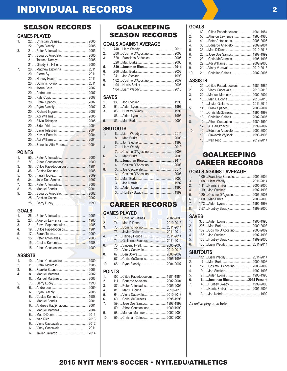### SEASON RECORDS

### **GAMES PLAYED**

| 1.               |                              |  |
|------------------|------------------------------|--|
|                  |                              |  |
| 3.               |                              |  |
|                  | 21 Eduardo Anacleto 2005     |  |
|                  | 21 Takuma Komiya  2005       |  |
|                  | 21 Ghady St. Hillien  2005   |  |
| $\overline{7}$   | 20 Matthew DiDonna  2011     |  |
|                  |                              |  |
|                  |                              |  |
|                  |                              |  |
|                  |                              |  |
|                  |                              |  |
|                  |                              |  |
|                  |                              |  |
|                  |                              |  |
|                  |                              |  |
|                  |                              |  |
|                  |                              |  |
|                  |                              |  |
|                  |                              |  |
|                  |                              |  |
|                  |                              |  |
|                  |                              |  |
|                  |                              |  |
|                  | <b>POINTS</b>                |  |
| $\mathbf{1}$     |                              |  |
| 2.               |                              |  |
| 3.               | 38 Clitos Papadopoulous 1981 |  |
| $\overline{4}$ . |                              |  |

| 6. |  |
|----|--|
| 7. |  |
| 8. |  |
| 9  |  |
|    |  |
|    |  |
|    |  |

#### **GOALS**

| $\mathbf{1}$  |                            |  |
|---------------|----------------------------|--|
| $\mathcal{P}$ |                            |  |
| 3.            | 21 Steve Papadopoulos 1985 |  |
| 4.            |                            |  |
| 5.            |                            |  |
| 6.            |                            |  |
|               |                            |  |
|               | 15 Athos Constantinos 1989 |  |

### **ASSISTS**

| 1  |                             |  |
|----|-----------------------------|--|
| 2. |                             |  |
| 3. |                             |  |
| 4. |                             |  |
|    |                             |  |
| 5. |                             |  |
| 6. |                             |  |
|    |                             |  |
|    |                             |  |
|    |                             |  |
|    | 6 Andreas Hadjikriacou 2001 |  |
|    |                             |  |
|    |                             |  |
|    |                             |  |
|    | 6 Vinny Caccavale  2012     |  |
|    | 6 Vinny Caccavale  2011     |  |
|    |                             |  |
|    |                             |  |

### GOALKEEPING SEASON RECORDS

### **GOALS AGAINST AVERAGE**

| 1. |                                |  |
|----|--------------------------------|--|
| 2. |                                |  |
| 3. | .820  Francisco Bañuelos  2005 |  |
|    |                                |  |
| 5. |                                |  |
| 6. |                                |  |
| 7. |                                |  |
| 8. |                                |  |
| 9  |                                |  |
|    |                                |  |
|    |                                |  |

### **SAVES**

| 1 $\overline{\phantom{a}}$ |  |
|----------------------------|--|
| 2.                         |  |
| 3.                         |  |
|                            |  |
| 5 —                        |  |

|                | <b>SHUTOUTS</b>           |  |
|----------------|---------------------------|--|
| 1 <sup>1</sup> |                           |  |
|                |                           |  |
|                |                           |  |
| $\overline{4}$ |                           |  |
|                | 7 Cosimo D'Agostino  2008 |  |
| 6.             |                           |  |
|                |                           |  |
| 7.             |                           |  |
| 8.             |                           |  |
|                | 3 Cosimo D'Agostino  2006 |  |
|                |                           |  |
|                |                           |  |
|                |                           |  |
|                |                           |  |

### CAREER RECORDS

### **GAMES PLAYED**

| $\mathbf{1}$   | 76Christian Caines2002-2005      |  |
|----------------|----------------------------------|--|
| 2.             | 74  Matt DiDonna       2010-2013 |  |
| 3.             |                                  |  |
|                | 73 Javier Gallardo 2011-2014     |  |
| $\overline{4}$ | 71 Harvey Houpe 2011-2014        |  |
| W              | 71 Guillermo Fuentes 2011-2014   |  |
| 6.             | 70  Vincent Tyrell 2005-2008     |  |
|                | 70  Vinny Cacavale  2010-2013    |  |
| 8              |                                  |  |
|                | 67 Chris McGuiness 1995-1998     |  |
| 10.            | 66 Ryan Blachly 2004-2007        |  |
| <b>POINTS</b>  |                                  |  |

| 1. $\blacksquare$ | 155 Clitos Papadopoulous 1981-1984 |  |
|-------------------|------------------------------------|--|
| 2.                | 111 Eduardo Anacleto 2002-2004     |  |
| 3.                | 87 Peter Antoniades 2005-2006      |  |
| 4.                | 81 Matt DiDonna  2010-2013         |  |
| 5.                | 64 Vinny Cacavale  2010-2013       |  |
| 6.                | 60 Chris McGuiness 1995-1998       |  |
| 7.                | 59 Jose Dos Santos 1997-1998       |  |
|                   | 59 Athos Constantinos 1989-1990    |  |
| 9.                | 58 Manuel Martinez  2002-2004      |  |
| 10 <sub>1</sub>   | 55 Christian Caines 2002-2005      |  |
|                   |                                    |  |

### **GOALS**<br>1. 60.

| 1.  | 60 Clitos Papadopoulous 1981-1984 |  |
|-----|-----------------------------------|--|
| 2.  | 55 Algeron Lawrence  1983-1986    |  |
| 3.  | 41 Peter Antoniades 2005-2006     |  |
| 4.  | 36 Eduardo Anacleto 2002-2004     |  |
| 5.  | 33 Matt DiDonna  2010-2013        |  |
| 6.  | 25 Jose Dos Santos 1997-1999      |  |
| 7.  | 23 Chris McGuiness 1995-1998      |  |
| 8.  | 22 Adi Williams  2002-2005        |  |
| 9.  | 21 Vinny Vacavale 2010-2013       |  |
| 10. | 21 Christian Caines 2002-2005     |  |
|     |                                   |  |

### **ASSISTS**

| 1.               | 35 Clitos Papadopoulous  1981-1984 |  |
|------------------|------------------------------------|--|
| $\overline{2}$ . | 22 Vinny Caccavale  2010-2013      |  |
| 3.               | 22 Manuel Martinez  2002-2004      |  |
| 4.               | 15 Matt DiDonna  2010-2013         |  |
|                  | 15 Javier Gallardo 2011-2014       |  |
| 5.               | 14 Frank Spanos 2006-2007          |  |
|                  | 14 Chris McGuiness 1995-1998       |  |
| $\overline{7}$ . | 13 Christian Caines 2002-2005      |  |
| 8.               | 12 Athos Costantinos 1989-1990     |  |
|                  | 12 A. Hadjikriacou 1999-2002       |  |
| 10.              | 10 Eduardo Anacleto 2002-2005      |  |
|                  | 10 Slawomir Wysocki 1993-1996      |  |
|                  |                                    |  |
|                  |                                    |  |

### GOALKEEPING CAREER RECORDS

### **GOALS AGAINST AVERAGE**

| 1.             | 1.05  Francisco Banuelos  2005-2006 |  |
|----------------|-------------------------------------|--|
| 3.             | 1.08  Liam Waddy  2011-2014         |  |
| 2 <sup>2</sup> |                                     |  |
| 4 <sup>1</sup> |                                     |  |
| 5.             | 1.20  Cosimo D'Agostino  2006-2007  |  |
| $6.$ $\bullet$ |                                     |  |
| 7.             | 1.72  Aiden Lyons  1995-1998        |  |
| 8 <sup>1</sup> | 2.57  Huntley Swaby  1999-2000      |  |
|                |                                     |  |

### **SAVES**<br>1. 336

| 1.             | 336 Aiden Lyons  1995-1998       |  |
|----------------|----------------------------------|--|
| 2.             |                                  |  |
| 3 <sub>1</sub> | 169 Cosimo D'Agostino  2006-2009 |  |
| 4.             |                                  |  |
| 5.             | 138 Huntley Swaby 1999-2000      |  |
| 6.             | 135 Liam Waddy  2011-2014        |  |
|                |                                  |  |

### **SHUTOUTS**<br>1. 17.1 ... Liar

|    | 1. 17.1  Liam Waddy  2011-2014  |  |
|----|---------------------------------|--|
|    | 2. 17 Matt Burke 2000-2003      |  |
| 3. | 12 Cosimo D'Agostino  2006-2009 |  |
| 4. |                                 |  |
| 5. | 7 Aiden Lyons  1995-1998        |  |
| 6. | 6 Jonathan Rico 2014-Present    |  |
| 7. | 4 Huntley Swaby 1999-2000       |  |
|    |                                 |  |
| 9. |                                 |  |
|    |                                 |  |

*All active players in* **bold***.*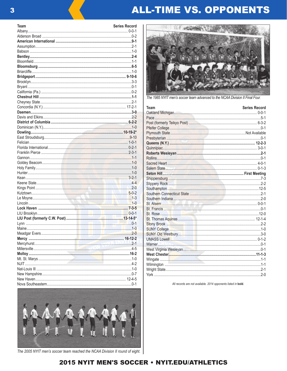## **ALL-TIME VS. OPPONENTS**

| <b>Team</b>   | <b>Series Record</b> |
|---------------|----------------------|
|               |                      |
|               |                      |
|               |                      |
|               |                      |
|               |                      |
|               |                      |
|               |                      |
|               |                      |
|               |                      |
|               |                      |
|               |                      |
|               |                      |
|               |                      |
|               |                      |
|               |                      |
|               |                      |
|               |                      |
|               |                      |
|               |                      |
|               |                      |
|               |                      |
|               |                      |
|               |                      |
|               |                      |
|               |                      |
|               |                      |
|               |                      |
|               |                      |
|               |                      |
|               |                      |
|               |                      |
|               |                      |
|               |                      |
|               |                      |
|               |                      |
|               |                      |
|               |                      |
|               |                      |
|               |                      |
|               |                      |
|               |                      |
| Meadgar Evers | $2 - 0$              |
|               |                      |
|               |                      |
|               |                      |
|               |                      |
|               |                      |
|               |                      |
|               |                      |
|               |                      |
|               |                      |
|               |                      |



The 2005 NYIT men's soccer team reached the NCAA Division II round of eight.



The 1985 NYIT men's soccer team advanced to the NCAA Division II Final Four.

| <b>Team</b>                                                                                                            | <b>Series Record</b> |
|------------------------------------------------------------------------------------------------------------------------|----------------------|
|                                                                                                                        |                      |
|                                                                                                                        |                      |
|                                                                                                                        |                      |
|                                                                                                                        |                      |
|                                                                                                                        |                      |
|                                                                                                                        |                      |
|                                                                                                                        |                      |
|                                                                                                                        |                      |
|                                                                                                                        |                      |
|                                                                                                                        |                      |
|                                                                                                                        |                      |
| Salem State <b>Material According to the Contract of the State of the State Contract O-1-3</b>                         |                      |
| Seton Hill <b>Andrew Mill and Automatic Contract of the Contract Office Contract Office Contract Office Contract O</b> |                      |
|                                                                                                                        |                      |
|                                                                                                                        |                      |
| Southampton <b>Manual Manual Community</b> 2014-12-5                                                                   |                      |
|                                                                                                                        |                      |
|                                                                                                                        |                      |
|                                                                                                                        |                      |
|                                                                                                                        |                      |
|                                                                                                                        |                      |
|                                                                                                                        |                      |
|                                                                                                                        |                      |
|                                                                                                                        |                      |
|                                                                                                                        |                      |
|                                                                                                                        |                      |
|                                                                                                                        |                      |
|                                                                                                                        |                      |
|                                                                                                                        |                      |
|                                                                                                                        |                      |
|                                                                                                                        |                      |
|                                                                                                                        |                      |
|                                                                                                                        |                      |

All records are not available. 2014 opponents listed in bold.

### 2015 NYIT MEN'S SOCCER . NYIT.EDU/ATHLETICS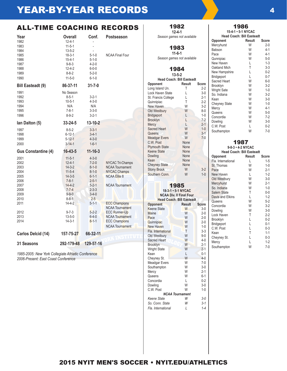### ALL-TIME COACHING RECORDS

| Year<br>1982<br>1983<br>1984<br>1985<br>1986<br>1987<br>1988 | <b>Overall</b><br>$12 - 4 - 1$<br>$11 - 5 - 1$<br>$13 - 5 - 2$<br>$18 - 3 - 1$<br>$15 - 4 - 1$<br>$9 - 8 - 3$<br>$12 - 4 - 2$ | Conf.<br>$5 - 1 - 0$<br>$5 - 1 - 0$<br>$4 - 2 - 0$<br>$6 - 0 - 0$                                                    | Postseason<br><b>NCAA Final Four</b>                                                                                      |
|--------------------------------------------------------------|-------------------------------------------------------------------------------------------------------------------------------|----------------------------------------------------------------------------------------------------------------------|---------------------------------------------------------------------------------------------------------------------------|
| 1989<br>1990                                                 | $8 - 8 - 2$<br>$11 - 5 - 0$                                                                                                   | $5 - 2 - 0$<br>$6 - 1 - 0$                                                                                           |                                                                                                                           |
| <b>Bill Easteadt (9)</b>                                     | 86-37-11                                                                                                                      | $31 - 7 - 0$                                                                                                         |                                                                                                                           |
| 1991<br>1992<br>1993<br>1994<br>1995<br>1996                 | No Season<br>$8 - 5 - 1$<br>$10 - 5 - 1$<br>N/A<br>$7 - 8 - 1$<br>$8 - 9 - 2$                                                 | $3 - 2 - 1$<br>$4 - 3 - 0$<br>N/A<br>$3 - 3 - 0$<br>$3 - 2 - 1$                                                      |                                                                                                                           |
| lan Dalton (5)                                               | 33-24-5                                                                                                                       | 13-10-2                                                                                                              |                                                                                                                           |
| 1997<br>1998<br>1999<br>2000                                 | $8 - 5 - 2$<br>$6 - 12 - 1$<br>$5 - 12 - 1$<br>$3 - 14 - 1$                                                                   | $3 - 3 - 1$<br>$3 - 4 - 1$<br>$4 - 3 - 0$<br>$1 - 6 - 1$                                                             |                                                                                                                           |
| <b>Gus Constantine (4)</b>                                   | $16 - 43 - 5$                                                                                                                 | $11 - 16 - 3$                                                                                                        |                                                                                                                           |
| 2001<br>2002<br>2003<br>2004<br>2005<br>2006<br>2007<br>2008 | $11 - 5 - 1$<br>$12 - 4 - 1$<br>$14 - 3 - 2$<br>$11 - 5 - 4$<br>$14 - 3 - 5$<br>$7 - 8 - 1$<br>$14 - 4 - 2$<br>$7 - 7 - 4$    | $4 - 3 - 0$<br>$7 - 2 - 0$<br>$8 - 1 - 0$<br>$8 - 1 - 0$<br>$6 - 1 - 1$<br>$2 - 5 - 1$<br>$5 - 2 - 1$<br>$2 - 3 - 3$ | <b>NYCAC Tri-Champs</b><br><b>NCAA Tournament</b><br><b>NYCAC Champs</b><br><b>NCAA Elite 8</b><br><b>NCAA Tournament</b> |
| 2009<br>2010                                                 | $9 - 9 - 0$<br>$8 - 8 - 1$                                                                                                    | $3 - 4 - 0$<br>$2 - 5$                                                                                               |                                                                                                                           |
| 2011                                                         | $14 - 4 - 2$                                                                                                                  | $5 - 1 - 1$                                                                                                          | <b>ECC Champions</b><br><b>NCAA Tournament</b>                                                                            |
| 2012<br>2013<br>2014                                         | $9 - 7 - 3$<br>$13 - 5 - 0$<br>$14 - 3 - 1$                                                                                   | $5 - 2 - 2$<br>$6 - 4 - 0$<br>$8 - 1 - 1$                                                                            | <b>ECC Runner-Up</b><br><b>NCAA Tournament</b><br><b>ECC Champions</b><br><b>NCAA Tournament</b>                          |
| Carlos Delcid (14)                                           | 157-75-27                                                                                                                     | 66-32-11                                                                                                             | ww                                                                                                                        |
| 31 Seasons                                                   | 292-179-48                                                                                                                    | 129-57-16                                                                                                            |                                                                                                                           |

*1985-2005: New York Collegiate Athletic Conference 2006-Present: East Coast Conference*

| 1982<br>$12 - 4 - 1$<br>Season games not available |
|----------------------------------------------------|
| 1983<br>$11 - 6 - 1$<br>Season games not available |
| 1984<br>$13 - 5 - 2$<br>Head Coach: Bill Easteadt  |

| Opponent              | Result | Score   |
|-----------------------|--------|---------|
| Long Island Un.       | Τ      | $2-2$   |
| Lock Haven State      | L      | $3-0$   |
| St. Francis College   | L      | $2 - 1$ |
| Quinnipiac            | T      | $2-2$   |
| New Haven             | W      | $3-2$   |
| Old Westbury          | W      | $8 - 0$ |
| Bridgeport            | L      | $1 - 0$ |
| <b>Brooklyn</b>       | L      | $7-2$   |
| Mercy                 | Е      | $2 - 1$ |
| <b>Sacred Heart</b>   | W      | $1 - 0$ |
| Queens                | W      | $3-1$   |
| <b>Meadgar Evers</b>  | W      | $7 - 0$ |
| C.W. Post             | None   |         |
| <b>Plymouth State</b> | None   |         |
| <b>Keene State</b>    | None   |         |
| Dowling               | None   |         |
| Kean                  | None   |         |
| <b>Cheyney State</b>  | None   |         |
| <b>Stony Brook</b>    | W      | 3-2     |
| Southern Conn.        | W      | $1 - 0$ |

### 1985

**18-3-1 • 5-1 NYCAC NCAA Div. II Final Four**

| <b>Head Coach: Bill Easteadt</b> |        |         |  |
|----------------------------------|--------|---------|--|
| <b>Opponent</b>                  | Result | Score   |  |
| <b>Keene State</b>               | W      | $3-0$   |  |
| Maine                            | W      | $2 - 0$ |  |
| Pace                             | W      | $2 - 0$ |  |
| Quinnipiac                       | W      | $2 - 0$ |  |
| <b>New Haven</b>                 | W      | $1-0$   |  |
| Fla. International               | T      | $3 - 3$ |  |
| Old Westbury                     | W      | $9 - 0$ |  |
| <b>Sacred Heart</b>              | W      | $4 - 0$ |  |
| Brooklyn                         | W      | $2 - 1$ |  |
| <b>Wright State</b>              | W      | $2 - 1$ |  |
| Kean                             | L      | $0 - 1$ |  |
| Cheyney St.                      | W      | $4 - 0$ |  |
| Meadgar Evers                    | W      | $7-0$   |  |
| Southampton                      | W      | $3-0$   |  |
| Mercy                            | W      | $2 - 1$ |  |
| Queens                           | W      | $6-1$   |  |
| Concordia                        | L      | $0 - 2$ |  |
| Dowling                          | W      | $3-0$   |  |
| C.W. Post                        | W      | $1 - 0$ |  |
| <b>NCAA Tournament</b>           |        |         |  |
| Keene State                      | W      | $3-0$   |  |
| So. Conn. State                  | W      | $3 - 1$ |  |
| Fla. International               | I      | $1 - 4$ |  |

#### 1986 **15-4-1 • 5-1 NYCAC**

| Head Coach: Bill Easteadt |        |         |  |
|---------------------------|--------|---------|--|
| Opponent                  | Result | Score   |  |
| Mercyhurst                | W      | $2 - 0$ |  |
| Babson                    | W      | $4-1$   |  |
| Pace                      | W      | $4-1$   |  |
| Qunnipiac                 | W      | $5-0$   |  |
| New Haven                 | L      | $1 - 3$ |  |
| Oakland Mich              | T      | $3 - 3$ |  |
| New Hampshire             | L      | $0 - 2$ |  |
| Bridgeport                | L      | $0 - 7$ |  |
| Sacred Heart              | W      | 6-0     |  |
| Brooklyn                  | W      | $3-2$   |  |
| <b>Wright Sate</b>        | W      | $1 - 0$ |  |
| So. Indiana               | W      | $3-2$   |  |
| Kean                      | W      | $3-0$   |  |
| Cheyney State             | W      | $1 - 0$ |  |
| Mercy                     | W      | $4-1$   |  |
| Queens                    | W      | $5-0$   |  |
| Concordia                 | W      | 7-2     |  |
| Dowling                   | W      | $3-0$   |  |
| C.W. Post                 | L      | $0 - 2$ |  |
| Southampton               | W      | $7-0$   |  |

#### 1987 **9-8-3 • 4-2 NYCAC Head Coach: Bill Easteadt**

| ncau vuavn. Din<br>Lasicaul |        |         |  |
|-----------------------------|--------|---------|--|
| Opponent                    | Result | Score   |  |
| Fla. International          |        | $1 - 5$ |  |
| St. Thomas                  | W      | $1 - 0$ |  |
| Pace                        | W      | $2 - 1$ |  |
| New Haven                   | L      | $1 - 2$ |  |
| Old Westbury                | W      | $3-0$   |  |
| Mercyhurst                  | W      | $2 - 1$ |  |
| So. Indiana                 | W      | $1 - 0$ |  |
| Salem State                 | Τ      | $0-0$   |  |
| Davis and Elkins            | L      | $1 - 2$ |  |
| Queens                      | W      | $5-2$   |  |
| Concordia                   | W      | $3-2$   |  |
| Dowling                     | W      | $3-0$   |  |
| Lock Haven                  | Τ      | 2-2     |  |
| Brooklyn                    | L      | $0 - 2$ |  |
| Bridgeport                  | L      | $0 - 1$ |  |
| C.W. Post                   | L      | $0 - 3$ |  |
| Kean                        | Τ      | $1 - 1$ |  |
| Cheyney St.                 | L      | 0-3     |  |
| Mercy                       |        | $1 - 2$ |  |
| Southampton                 | W      | $7-0$   |  |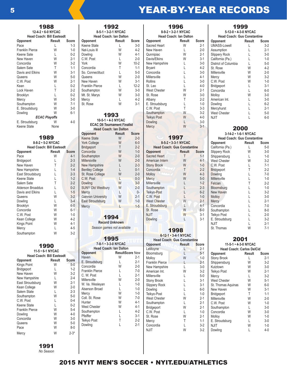**12-4-2 • 6-0 NYCAC Head Coach: Bill Easteadt Opponent Result Score**  Pace L<br>Franklin Pierce L 1-3 Franklin Pierce W 1-0<br>Keene Sate L 0-2 Keene Sate L 0-2<br>New Haven W 2-1 New Haven W 2-1<br>Concordia W 3-2 Concordia Salem Sate T<br>Davis and Elkins W 3-1 Davis and Elkins W 3-1<br>Queens W 5-0 Queens W 5-0<br>C.W. Post W 2-1 C.W. Post W 2-1<br>Kean L 0-2 Kean L<br>Lock Haven T 2-2 Lock Haven T 2-2<br>Brooklyn L 0-2 Brooklyn L 0-2<br>Mercy W 3-0 Mercy W 3-0<br>Southampton W 7-1 Southampton W 7-1<br>E. Stroudsburg W 3-0 E. Stroudsburg W 3-0<br>Dowling W 6-1 Dowling *ECAC Playoffs* E. Stroudsburg W 4-0<br>Keene State None Keene State 1989 **8-8-2 • 5-2 NYCAC Head Coach: Bill Easteadt Opponent**<br> **Pace W** 4-1 Pace W 4-1 Bridgeport L 2-3<br>New Haven T 2-2 New Haven<br>
New Hampshire<br>
New Hampshire<br>
L
1-4 New Hampshire L 1-4<br>East Stroudsburg L 2-3 East Stroudsburg L 2-3<br>Keene State L 1-2 Keene State L<br>Salem Sate T 2-2 Salem Sate T<br>Alderson Broaddus L 0-2 Alderson Broaddus L<br>Davis and Elkins L<br>1-5 Davis and Elkins L<br>Queens W 3-2 Queens W 3-2<br>Dowling L 3-4 Dowling L<br>Brooklyn W 6-0 Brooklyn Concordia  $W$  6-1<br>C.W. Post  $W$  1-0 C.W. Post W 1-0<br>Kean College W 4-2 Kean College W 4-2<br>
Kings Point W 4-1 Kings Point W 4-1<br>Mercy 1 4-5

Mercy L

Southampton W 3-2

1988

| <b>Head Coach: Bill Easteadt</b><br>Opponent<br>Kings Point<br>Bridgeport<br>New Haven<br>New Hampshire<br>East Stroudsburg<br>Kean College | 1990<br>11-5 · 6-1 NYCAC<br>Result<br>W<br>L<br>W<br>L<br>W<br>W | <b>Score</b><br>$5-0$<br>$1 - 2$<br>$3-2$<br>$2 - 4$<br>$2 - 1$<br>$2 - 0$                          | $7 - 8 - 1$<br><b>Head Co</b><br>Opponent<br>Haven<br>E. Stroudsburg<br>Concordia<br><b>Franklin Pierce</b><br>C. W. Post<br>Millersville<br>W. Va. Wesleyan<br>Alserson Broad |
|---------------------------------------------------------------------------------------------------------------------------------------------|------------------------------------------------------------------|-----------------------------------------------------------------------------------------------------|--------------------------------------------------------------------------------------------------------------------------------------------------------------------------------|
| Salem State<br>Southampton<br>C.W. Post<br>Keene State<br>Franklin Pierce<br>Dowling<br>Concordia<br>Queens<br>Pace<br>Mercy                | L<br>W<br>L<br>L<br>W<br>W<br>W<br>W<br>W<br>W                   | $2 - 3$<br>$5-0$<br>$0 - 4$<br>$0 - 2$<br>$5-4$<br>$4 - 0$<br>$3-0$<br>$5-0$<br>$8 - 0$<br>$2 - 3*$ | Mercy<br>Coll. St. Rose<br>Hunter<br><b>West Chester</b><br>Southampton<br>Pfeiffer<br>Teikyo Post<br>Dowling                                                                  |
|                                                                                                                                             |                                                                  |                                                                                                     |                                                                                                                                                                                |

|                                                                                                                                                                                                                                                                                                       | 1992<br>8-5-1 · 3-2-1 NYCAC<br>Head Coach: Ian Dalton                                                                                                                  |                                                                                                                                                                                           |                                                                                                                                                                                                    |
|-------------------------------------------------------------------------------------------------------------------------------------------------------------------------------------------------------------------------------------------------------------------------------------------------------|------------------------------------------------------------------------------------------------------------------------------------------------------------------------|-------------------------------------------------------------------------------------------------------------------------------------------------------------------------------------------|----------------------------------------------------------------------------------------------------------------------------------------------------------------------------------------------------|
| Opponent<br>Keene State<br>Nat-Louis III<br>Dowling<br>C.W. Post<br>York<br>Concordia<br>So. Connectituct<br>Queens<br>New Haven<br>Franklin Pierce<br>Southampton<br>Mt. St. Marys<br>Mercy<br>St. Rose                                                                                              | Result<br>L<br>W<br>W<br>Г<br>W<br>T<br>L<br>W<br>W<br>L<br>W<br>W<br>L<br>W                                                                                           | <b>Score</b><br>$3-0$<br>$4 - 2$<br>$4 - 1$<br>$2 - 0$<br>$10-2$<br>$1 - 1$<br>$5-0$<br>$2 - 0$<br>$3-1$<br>$12 - 2$<br>$3-0$<br>3-0<br>$4 - 2$<br>$3-1$                                  | Oppo<br>Sacre<br>New<br>Qunn<br>Davis<br>New<br>Bryar<br>Conc<br>Miller<br>Rollir<br>St. L6<br>West<br>St. R<br>Albar<br>E. St<br>C.W.                                                             |
|                                                                                                                                                                                                                                                                                                       | 1993<br>10-5-1 · 4-3 NYCAC<br><b>ECAC DII Tournament Finalist</b><br><b>Head Coach: Ian Dalton</b>                                                                     |                                                                                                                                                                                           | South<br>Teiky<br>Dowli<br><b>Merc</b>                                                                                                                                                             |
| Opponent<br>Keene State<br><b>York College</b><br>Bridgeport<br>Concordia<br>Southampton<br><b>Millersiville</b><br>New Hampshire<br><b>Bentley College</b><br>St. Rose College<br>C.W. Post<br>Dowling<br><b>SUNY Old Westbury</b><br>Mercy<br>Gannon University<br>East Stroudsburg<br><b>Mercy</b> | Result<br>W<br>W<br>T<br>W<br>W<br>W<br>L<br>L<br>W<br>L<br>W<br>W<br>L<br>W<br>W<br>L<br>1994<br><b>Record Unknown</b><br>Season games not available                  | <b>Score</b><br>$2 - 0$<br>$6 - 0$<br>$2 - 2$<br>$1 - 0$<br>$2 - 0$<br>$2 - 0$<br>$2 - 3$<br>$0 - 1$<br>$2 - 0$<br>$0 - 3$<br>$3 - 0$<br>$2 - 0$<br>$0-$<br>$2 - 1$<br>$1 - 0$<br>$1 - 5$ | Oppo<br>Sacre<br>Amer<br>Stony<br>Conc<br>Mollo<br>Merc <sup>®</sup><br>Miller<br>South<br>Teiky<br>C.W.<br>West<br>E. St<br>St. R<br><b>NJIT</b><br>Dowl                                          |
| <b>Opponent</b><br>Haven<br>E. Stroudsburg<br>Concordia<br><b>Franklin Pierce</b><br>C. W. Post<br>Millersville<br>W. Va. Wesleyan<br>Alserson Broad<br>Mercy<br>Coll. St. Rose<br>Hunter<br>West Chester<br>Southampton<br>Pfeiffer<br>Teikyo Post<br>Dowling                                        | 1995<br>7-8-1 · 3-3-0 NYCAC<br><b>Head Coach: Ian Dalton</b><br><b>ResultScore New</b><br>W<br>L<br>W<br>L<br>L<br>W<br>L<br>L<br>W<br>W<br>W<br>W<br>L<br>Ĺ<br>Τ<br>L | anning,<br>$2 - 1$<br>$2 - 1$<br>$2 - 0$<br>7-0<br>$2 - 1$<br>$2 - 0$<br>$1 - 0$<br>$1 - 0$<br>$1-0$<br>$7-0$<br>$4-1$<br>$4 - 1$<br>$4-2$<br>$3-1$<br>$2 - 2$<br>$2 - 1$                 | Oppo<br>LeMo<br>Bloor<br>Mollo<br>Frank<br>New<br>Amer<br>Miller<br>Stony<br><b>Slipp</b><br>Dowli<br>Teiky<br>West<br>South<br><b>Bridg</b><br>C.W.<br>St. R<br>Merc <sup>®</sup><br>Conc<br>NJIT |

|                |                                    | 1996                           |                  | 1999                               |               |                  |
|----------------|------------------------------------|--------------------------------|------------------|------------------------------------|---------------|------------------|
|                |                                    | 8-9-2 · 3-2-1 NYCAC            |                  | 5-12-0 · 4-3-0 NYCAC               |               |                  |
|                |                                    | Head Coach: Ian Dalton         |                  | <b>Head Coach: Gus Constantine</b> |               |                  |
| .e             | <b>Opponent</b>                    | Result                         | <b>Score</b>     | <b>Opponent</b>                    | Result        | <b>Score</b>     |
| 0              | Sacred Heart                       | W                              | $2 - 1$          | <b>UMASS-Lowell</b>                | L             | $3-2$            |
| $\cdot$ 2      | New Haven                          | L                              | $2 - 0$          | Assumption                         | L             | $2 - 1$          |
| -1             | Qunnipiac                          | W                              | $2 - 1$          | Slippery Rock                      | L             | $3-0$            |
| 0              | Davis/Elkins                       | W                              | $3-1$            | California (Pa.)                   | L             | $1 - 0$          |
| $\cdot 2$      | New Hampshire                      | L                              | $3-0$            | District of Columbia               | L             | $5-0$            |
| $\cdot$ 1      | <b>Bryant</b>                      | L                              | $4 - 2$          | St. Rose                           | W             | $4-2$            |
| 0              | Concordia                          | L                              | $3-0$            | Millersville                       | W             | $2 - 0$          |
| 0              | Millersville                       | L                              | $4 - 1$          | Mercy                              | W             | $3-2$            |
| $\cdot$ 1      | <b>Rollins</b>                     | L                              | $3-0$            | C.W. Post                          | W             | $1 - 0$          |
| $\overline{2}$ | St. Leo                            | L                              | $4 - 0$          | Bridgeport                         | L             | $3-1$            |
| 0              | <b>West Chester</b>                | W                              | $2 - 1$          | Concordia                          | L<br>W        | $6-0$            |
| 0<br>$\cdot$ 2 | St. Rose                           | W<br>Τ                         | $3-0$<br>$2 - 2$ | Molloy                             |               | $3-0$            |
| $\cdot$ 1      | Albany                             | L                              | $1 - 0$          | American Int.                      | L<br>L        | $3-0$<br>$6 - 2$ |
|                | E. Stroudsburg<br>C.W. Post        | T                              | $3 - 3$          | Dowling                            | L             | $2 - 1$          |
|                | Southampton                        | W                              | $3-2$            | Mercyhurst<br><b>West Chester</b>  | L             | $5-0$            |
|                | Teikyo Post                        | W                              | $4 - 0$          | <b>NJIT</b>                        | L             | $6-0$            |
|                | Dowling                            | L                              | $3-0$            |                                    |               |                  |
|                | Mercy                              | W                              | $3 - 1$          |                                    |               |                  |
|                |                                    |                                |                  | 2000                               |               |                  |
| .e             |                                    |                                |                  | 3-14-2 · 1-6-1 NYCAC               |               |                  |
| 0              |                                    | 1997                           |                  | <b>Head Coach: Gus Constantine</b> |               |                  |
| 0              |                                    | 8-5-2 · 3-3-1 NYCAC            |                  | Opponent                           | <b>Result</b> | <b>Score</b>     |
| $\overline{2}$ | <b>Head Coach: Gus Constantine</b> |                                |                  | California (Pa.)                   | L             | 5-0              |
| $\overline{0}$ | Opponent                           | <b>Result</b>                  | <b>Score</b>     | <b>Slippery Rock</b>               | W             | $3-0$            |
| $\overline{0}$ | <b>Sacred Heart</b>                | T                              | $1 - 1$          | Shippensburg                       | L             | $1 - 0$          |
| 0              | American Intern                    | W                              | $4 - 1$          | <b>West Chester</b>                | W             | $3-2$            |
| 3              | <b>Stony Brook</b>                 | W                              | $1 - 0$          | C.W. Post                          | L             | $7-1$            |
| $\cdot$ 1      | Concordia                          | T                              | $2 - 2$          | Bridgeport                         | T             | $2-2$            |
| 0              | <b>Molloy</b>                      | W                              | $4 - 3$          | Dowling                            | L             | $7-0$            |
| 3              | Mercy                              | W                              | $5-0$            | Millersville                       | L             | $1 - 0$          |
| $\overline{0}$ | <b>Millersville</b>                | L                              | $1 - 2$          | Felcian                            | T             | $2-2$            |
| $\overline{0}$ | Southampton                        | L                              | $2 - 3$          | Bloomsburg                         | L             | $1 - 0$          |
| )-             | Teikyo-Post                        | L                              | $6 - 2$          | New Haven                          | L             | $3-2$            |
| $\cdot$ 1      | C.W. Post                          | L                              | $1 - 0$          | <b>Molloy</b>                      | L             | $3-0$            |
| 0              | <b>West Chester</b>                | W                              | $2 - 1$          | Mercy                              | L             | $2 - 1$          |
| $-5$           | E. Stroudsburg                     | L                              | $4 - 1$          | Concordia                          | L             | $7-0$            |
|                | St. Rose                           | W                              | $6-0$            | Southampton                        | L             | $8 - 0$          |
|                | <b>NJIT</b>                        | W                              | $3-1$            | Teikyo Post                        | L             | $2 - 0$          |
|                | Dowling                            | L                              | $3-1$            | E. Stroudsburg                     | L             | $3-2$            |
|                |                                    |                                |                  | <b>NJIT</b>                        | L<br>W        | $2 - 1$          |
|                |                                    | 1998                           |                  | St. Thomas                         |               | $7-1$            |
|                |                                    | $6 - 12 - 1 - 3 - 4 - 1$ NYCAC |                  |                                    |               |                  |
|                | <b>Head Coach: Gus Constantine</b> |                                |                  | 2001                               |               |                  |
|                | Opponent                           | <b>Result</b>                  | <b>Score</b>     | 11-5-1 · 4-3-0 NYCAC               |               |                  |
|                | LeMoyne                            | L                              | $2 - 1$          | <b>Head Coach: Carlos DelCid</b>   |               |                  |
| W              | Bloomsburg                         | L                              | $5 - 1$          | Opponent                           | Result        | <b>Score</b>     |
| $\cdot$ 1      | Molloy                             | W                              | $1 - 0$          | <b>Stony Brook</b>                 | L             | $2 - 1$          |
| $\cdot$ 1      | Franklin Pierce                    | L                              | $2 - 1$          | Shippensburg                       | W             | $3-2$            |
| 0              | New Hampshire                      | L                              | $3-0$            | Kutztown                           | W             | $3-0$            |
| 0              | American Int.                      | W                              | $3-2$            | Teikyo Post                        | W             | $2 - 1$          |
| $\cdot$ 1      | Millersville                       | L                              | $5-0$            | Mercy                              | L             | $3-2$            |
| 0              | Stony Brook                        | L                              | $3-1$            | <b>West Chester</b>                | W             | $5-1$            |
| 0              | Slippery Rock                      | L                              | $3-1$            | St. Thomas Aquinas                 | W             | $6-0$            |
| 0              | Dowling                            | L                              | $6-0$            | New Haven                          | W             | 3-1              |
| 0              | Teikyo-Post                        | L                              | $1 - 0$          | Bridgeport                         | T             | $1 - 1$          |
| 0              | <b>West Chester</b>                | W                              | $2 - 1$          | Millersville                       | W             | $2 - 0$          |
| $\cdot$ 1      | Southampton                        | L                              | $2 - 1$          | C.W. Post                          | W             | $1 - 0$          |
| $\cdot$ 1      | Bridgeport                         | W                              | $2 - 1$          | Southampton                        | L             | $3-0$            |
| $\overline{2}$ | C.W. Post                          | L                              | $1 - 0$          | Concordia                          | W             | 3-0              |
| ۰1             | St. Rose                           | W                              | $2 - 1$          | Molloy                             | W             | $1-0$            |
| $\overline{2}$ | Mercy                              | T                              | $1 - 1$          | E. Stroudsburg                     | L             | $3-0$            |
| ۰1             | Concordia                          | L                              | $3-2$            | <b>NJIT</b>                        | W             | $1 - 0$          |
|                | NJIT                               | W                              | $3-2$            | Dowling                            | L             | $4-0$            |

1991 *No Season*

### 2015 NYIT MEN'S SOCCER • NYIT.EDU/ATHLETICS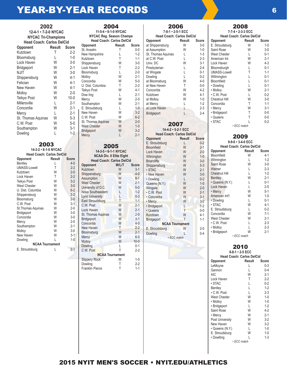| 2002<br>12-4-1 • 7-2-0 NYCAC<br><b>NYCAC Tri-Champions</b><br><b>Head Coach: Carlos DelCid</b> |        |              |  |  |
|------------------------------------------------------------------------------------------------|--------|--------------|--|--|
| Opponent                                                                                       | Result | <b>Score</b> |  |  |
| Kutztown                                                                                       | т      | $2 - 2$      |  |  |
| Bloomsburg                                                                                     | L      | $1 - 0$      |  |  |
| Lock Haven                                                                                     | W      | $3-0$        |  |  |
| Bridgeport                                                                                     | W      | $2 - 1$      |  |  |
| <b>NJIT</b>                                                                                    | W      | $3-0$        |  |  |
| Shippensburg                                                                                   | W      | $4 - 1$      |  |  |
| Felician                                                                                       | W      | $4-1$        |  |  |
| New Haven                                                                                      | W      | $4 - 1$      |  |  |
| Molloy                                                                                         | W      | $2 - 0$      |  |  |
| Teikyo Post                                                                                    | W      | $10 - 0$     |  |  |
| Millersville                                                                                   | L      | $2 - 1$      |  |  |
| Concordia                                                                                      | W      | $2 - 1$      |  |  |
| Mercy                                                                                          | L      | $2 - 1$      |  |  |
| St. Thomas Aquinas                                                                             | W      | $5-3$        |  |  |
| C.W. Post                                                                                      | W      | $5-0$        |  |  |
| Southampton                                                                                    | W      | $3-1$        |  |  |
| Dowling                                                                                        | L      | $1-2$        |  |  |
|                                                                                                |        |              |  |  |

### 2003

| 14-3-2 · 8-1-0 NYCAC             |        |              |  |
|----------------------------------|--------|--------------|--|
| <b>Head Coach: Carlos DelCid</b> |        |              |  |
| Opponent                         | Result | <b>Score</b> |  |
| Bentley                          | L      | $4 - 0$      |  |
| <b>UMASS-Lowell</b>              | T      | $2 - 2$      |  |
| Kutztown                         | W      | $2 - 0$      |  |
| Lock Haven                       | T      | $2-2$        |  |
| <b>Teikyo Post</b>               | W      | $3-2$        |  |
| <b>West Chester</b>              | W      | $3 - 0$      |  |
| U. Dist. Columbia                | W      | $6 - 2$      |  |
| Shippensburg                     | W      | $3-2$        |  |
| Bloomsburg                       | W      | $2 - 0$      |  |
| C.W. Post                        | W      | $3-1$        |  |
| St. Thomas Aquinas               | W      | $2 - 0$      |  |
| Bridgeport                       | W      | $3-0$        |  |
| Concordia                        | W      | $3-0$        |  |
| Mercy                            | W      | $2 - 0$      |  |
| Southampton                      | W      | $2 - 1$      |  |
| Molloy                           | W      | $3-0$        |  |
| New Haven                        | W      | $3-1$        |  |
| Dowling                          | L      | $1 - 0$      |  |
| <b>NCAA Tournament</b>           |        |              |  |
| E. Stroudsburg                   | L      | $2 - 1$      |  |

| 2004                             |        |         |  |
|----------------------------------|--------|---------|--|
| 11-5-4 · 8-1-0 NYCAC             |        |         |  |
| NYCAC Reg. Season Champs         |        |         |  |
| <b>Head Coach: Carlos DelCid</b> |        |         |  |
| Opponent                         | Result | Score   |  |
| St Anselm                        | Τ      | $0 - 0$ |  |
| New Hampshire                    | L      | $1 - 2$ |  |
| Kutztown                         | T      | $1 - 1$ |  |
| Shippensburg                     | W      | $3-0$   |  |
| Lock Haven                       | T      | $2 - 2$ |  |
| Bloomsburg                       | L      | $2 - 0$ |  |
| Molloy                           | W      | $2 - 1$ |  |
| Concordia                        | W      | $5-0$   |  |
| U. Dist. Columbia                | T      | $2-2$   |  |
| Teikyo Post                      | W      | $4 - 1$ |  |
| Dow ling                         | L      | $2 - 1$ |  |
| Mercy                            | W      | $2 - 0$ |  |
| Southampton                      | W      | $2 - 1$ |  |
| E. Stroudsburg                   | L      | $1 - 0$ |  |
| New Haven                        | W      | $3 - 2$ |  |
| C.W. Post                        | W      | $6 - 2$ |  |
| St. Thomas Aquinas               | W      | $2 - 0$ |  |
| <b>West Chester</b>              | W      | $1 - 0$ |  |
| Bridgeport                       | W      | $3 - 2$ |  |
| Mercy                            | L      | $2 - 1$ |  |
|                                  |        |         |  |

| ۱<br>L<br>ı<br>п |
|------------------|
|------------------|

| 14-3-5 • 6-1-1 NYCAC             |       |              |  |  |
|----------------------------------|-------|--------------|--|--|
| <b>NCAA Div. Il Elite Eight</b>  |       |              |  |  |
| <b>Head Coach: Carlos DelCid</b> |       |              |  |  |
| Opponent                         | W/L/T | <b>Score</b> |  |  |
| Kutztown                         | W     | $3 - 1$      |  |  |
| Shippensburg                     | W     | $4 - 0$      |  |  |
| Assumption                       | W     | $8 - 1$      |  |  |
| <b>West Chester</b>              | W     | $2 - 1$      |  |  |
| University of D.C.               | W     | $5-0$        |  |  |
| Nova Southeastern                | L     | $1 - 2$      |  |  |
| Lynn University                  | L     | $0 - 3$      |  |  |
| <b>East Stroudsburg</b>          | T     | $1 - 1$      |  |  |
| C.W. Post                        | W     | $2 - 1$      |  |  |
| Lock Haven                       | W     | $2 - 1$      |  |  |
| St. Thomas Aquinas               | W     | $2 - 0$      |  |  |
| <b>Bridgeport</b>                | W     | $3 - 1$      |  |  |
| Concordia                        | W     | $4 - 0$      |  |  |
| New Haven                        | T     | $2 - 2$      |  |  |
| Bloomsburg                       | W     | $2 - 1$      |  |  |
| Mercy                            | W     | $6-0$        |  |  |
| <b>Molloy</b>                    | W     | $10 - 0$     |  |  |
| Dowling                          | L     | $0 - 1$      |  |  |
| C.W. Post                        | T     | $2 - 2$      |  |  |
| <b>NCAA Tournament</b>           |       |              |  |  |
| <b>Slippery Rock</b>             | W     | $1 - 0$      |  |  |
| Dowling                          | Т     | $2 - 2$      |  |  |
| <b>Franklin Pierce</b>           | Т     | $1 - 1$      |  |  |

| 2006<br>7-8-1 • 2-5-1 ECC |        |         |  |  |
|---------------------------|--------|---------|--|--|
| Head Coach: Carlos DelCid |        |         |  |  |
| Opponent                  | Result | Score   |  |  |
| at Shippensburg           | W      | $3-0$   |  |  |
| at Assumption             | W      | $1 - 0$ |  |  |
| St. Thomas Aguinas        | L      | $1 - 3$ |  |  |
| at C.W. Post              | L      | $2 - 3$ |  |  |
| Univ. DC                  | W      | $3-1$   |  |  |
| Presbyterian              | L      | $2 - 4$ |  |  |
| at Wingate                | L      | $0 - 1$ |  |  |
| Dowling                   | L      | $0 - 2$ |  |  |
| at Bloomsburg             | W      | $4 - 0$ |  |  |
| at New Haven              | Т      | $0 - 0$ |  |  |
| Concorida                 | W      | $4-2$   |  |  |
| Kutztown                  | W      | $4 - 1$ |  |  |
| at Molloy                 | W      | $1 - 0$ |  |  |
| at Mercy                  | L      | $1-2$   |  |  |
| at Lock Haven             | L      | $2 - 3$ |  |  |
| Bridgeport                | L      | $2 - 4$ |  |  |
|                           |        |         |  |  |

### 2007

**14-4-2 • 5-2-1 ECC Head Coach: Carlos DelCid**

| Head Coach: Carlos DelCld |                        |              |
|---------------------------|------------------------|--------------|
| Opponent                  | <b>Result</b>          | <b>Score</b> |
| E. Stroudsburg            | L                      | $0 - 2$      |
| <b>Bloomfield</b>         | W                      | $2 - 1$      |
| <b>Lock Haven</b>         | W                      | $2 - 0$      |
| Wilmington                | W                      | $1 - 0$      |
| <b>Briarcliffe</b>        | W                      | $3 - 0$      |
| Shippensburg              | W                      | $5 - 3$      |
| · STAC                    | W                      | $2 - 1$      |
| • New Haven               | W                      | $3 - 0$      |
| • Dowling                 | L                      | $0 - 2$      |
| Queens (N.Y.)             | W                      | $1-0$        |
| Wingate                   | W                      | $2 - 0$      |
| · C.W. Post               | W                      | $2 - 1$      |
| · Concordia               | W                      | $3-1$        |
| • Mercy                   | W                      | $3-2$        |
| · Bridgeport              | L                      | $1 - 2$      |
| • Queens                  | T                      | $0 - 0$      |
| Kutztown                  | W                      | 4-1          |
| <b>Bridgeport</b>         | T                      | $1 - 1$      |
|                           | <b>NCAA Tournament</b> |              |
| E. Stroudsburg            | W                      | $2 - 0$      |
| Dowling                   |                        | $0 - 4$      |
|                           | · ECC match            |              |
|                           |                        |              |

### 2008 **7-7-4 • 2-3-3 ECC**

**Head Coach: Carlos DelCid Opponent Resu**<br>**E.** Stroudsburg **W** E. Stroudsburg W 1-0<br>Saint Rose W 3-0 Saint Rose W 3-0<br>West Chester L 0-1 West Chester L 0-1<br>American Int. W 2-1 American Int. W 2-1<br>
Lock Haven W 4-3 Lock Haven Bloomsburgh L 0-1<br>UMASS-Lowell T 1-1 UMASS-Lowell T 1-1<br>Willmington L 0-1 Willmington Bloomfield L 0-1<br>
• Dowling L 0-1 • Dowling L<br>• Molloy W • Molloy W 2-1<br>• C.W. Post L 0-2 • C.W. Post L 0-2<br>Chestnut Hill W 3-0 Chestnut Hill W<br>Concordia  $\qquad$  T Concordia T 1-1<br>
• Mercy W 3-1  $\cdot$  Mercy • Bridgeport T 0-0<br>• Queens T 0-0 • Queens T 0-0  $\cdot$  STAC *• ECC match*

#### 2009 **9-9-0 • 3-4-0 ECC**

| <b>Head Coach: Carlos DelCid</b> |                   |         |
|----------------------------------|-------------------|---------|
| Opponent                         | Result            | Score   |
| Bloomfield                       | W                 | $4-1$   |
| Wilmington                       | L                 | $1-2$   |
| <b>Saint Rose</b>                | W                 | $3-0$   |
| Warner                           | L                 | $2 - 3$ |
| <b>Chestnut Hill</b>             | L                 | $1-2$   |
| <b>Bentley</b>                   | W                 | $2 - 1$ |
| • Queens (N.Y.)                  | L                 | $0 - 1$ |
| Lock Haven                       | L                 | $2 - 5$ |
| • Mercy                          | W                 | $5-1$   |
| American Int'l                   | W                 | $1 - 0$ |
| • Dowling                        | L                 | $0 - 1$ |
| $\cdot$ STAC                     | W                 | $4-1$   |
| E. Stroudsburg                   | L                 | $0 - 2$ |
| Concordia                        | W                 | $7-1$   |
| <b>West Chester</b>              | W                 | $2 - 1$ |
| • C.W. Post                      | L                 | $2 - 3$ |
| • Molloy                         | L                 | $2 - 3$ |
| • Bridgeport                     | W                 | $2 - 1$ |
|                                  | $\cdot$ ECC match |         |

### 2010

| $8 - 8 - 1 - 2 - 5$ ECC          |        |         |  |
|----------------------------------|--------|---------|--|
| <b>Head Coach: Carlos DelCid</b> |        |         |  |
| Opponent                         | Result | Score   |  |
| LeMoyne                          |        | $0 - 3$ |  |
| Gannon                           | L      | $0 - 4$ |  |
| AIC                              | W      | $2 - 1$ |  |
| Lock Haven                       | Τ      | $2-2$   |  |
| $\cdot$ STAC                     | L      | $0 - 2$ |  |
| Bentley                          | L      | $1-2$   |  |
| • C.W. Post                      | L      | $2 - 3$ |  |
| <b>West Chester</b>              | W      | $1 - 0$ |  |
| • Molloy                         | W      | $1 - 0$ |  |
| • Bridgeport                     | L      | $1-2$   |  |
| Saint Rose                       | W      | $4-2$   |  |
| • Mercy                          | W      | $2 - 1$ |  |
| Post University                  | W      | $3-2$   |  |
| New Haven                        | W      | $3-2$   |  |
| • Queens (N.Y.)                  | L      | $1 - 0$ |  |
| E. Stroudsburg                   | W      | $1 - 0$ |  |
| • Dowlling                       |        | $1-3$   |  |
| $\cdot$ ECC match                |        |         |  |

### 2015 NYIT MEN'S SOCCER • NYIT.EDU/ATHLETICS